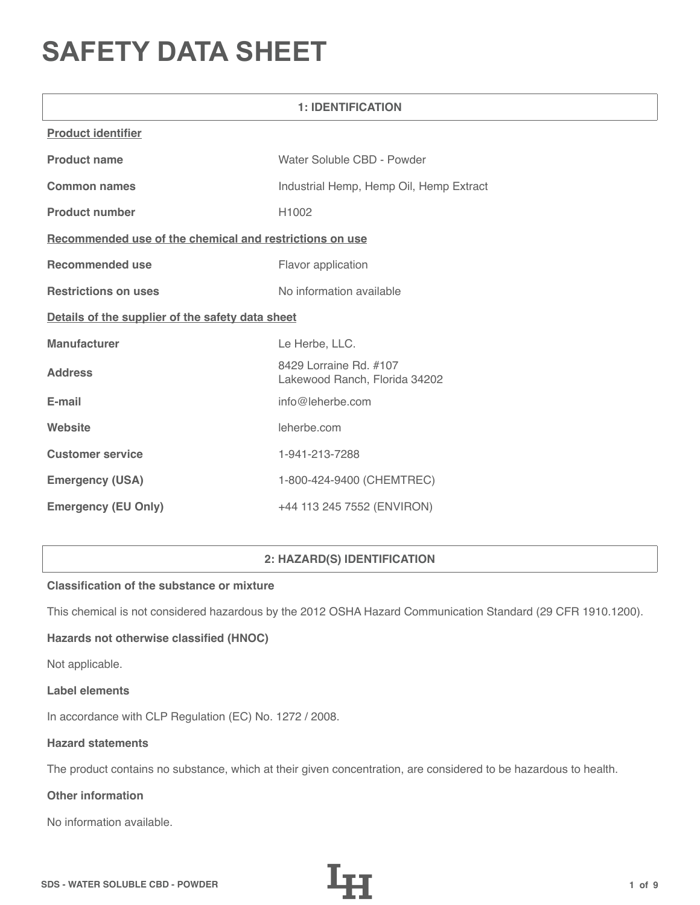# **SAFETY DATA SHEET**

| <b>1: IDENTIFICATION</b>                                |                                                         |  |  |
|---------------------------------------------------------|---------------------------------------------------------|--|--|
| <b>Product identifier</b>                               |                                                         |  |  |
| <b>Product name</b>                                     | Water Soluble CBD - Powder                              |  |  |
| <b>Common names</b>                                     | Industrial Hemp, Hemp Oil, Hemp Extract                 |  |  |
| <b>Product number</b>                                   | H1002                                                   |  |  |
| Recommended use of the chemical and restrictions on use |                                                         |  |  |
| <b>Recommended use</b>                                  | Flavor application                                      |  |  |
| <b>Restrictions on uses</b>                             | No information available                                |  |  |
| Details of the supplier of the safety data sheet        |                                                         |  |  |
| <b>Manufacturer</b>                                     | Le Herbe, LLC.                                          |  |  |
| <b>Address</b>                                          | 8429 Lorraine Rd. #107<br>Lakewood Ranch, Florida 34202 |  |  |
| E-mail                                                  | info@leherbe.com                                        |  |  |
| Website                                                 | leherbe.com                                             |  |  |
| <b>Customer service</b>                                 | 1-941-213-7288                                          |  |  |
| <b>Emergency (USA)</b>                                  | 1-800-424-9400 (CHEMTREC)                               |  |  |
| <b>Emergency (EU Only)</b>                              | +44 113 245 7552 (ENVIRON)                              |  |  |

# **2: HAZARD(S) IDENTIFICATION**

## **Classification of the substance or mixture**

This chemical is not considered hazardous by the 2012 OSHA Hazard Communication Standard (29 CFR 1910.1200).

## **Hazards not otherwise classified (HNOC)**

Not applicable.

#### **Label elements**

In accordance with CLP Regulation (EC) No. 1272 / 2008.

#### **Hazard statements**

The product contains no substance, which at their given concentration, are considered to be hazardous to health.

# **Other information**

No information available.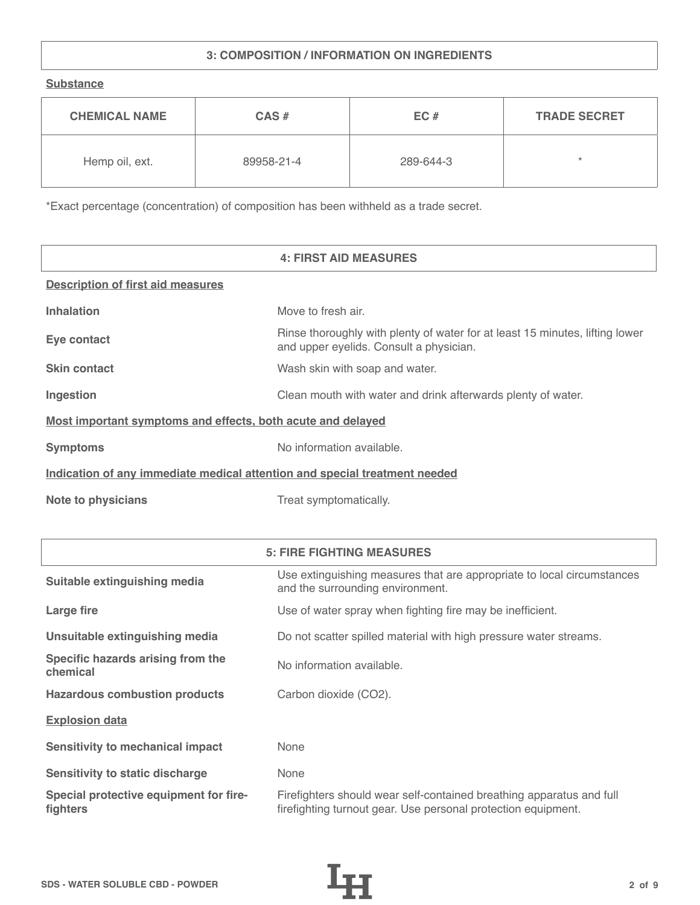# **3: COMPOSITION / INFORMATION ON INGREDIENTS**

**Substance**

| <b>CHEMICAL NAME</b> | $CAS \#$   | EC#       | <b>TRADE SECRET</b> |
|----------------------|------------|-----------|---------------------|
| Hemp oil, ext.       | 89958-21-4 | 289-644-3 | $\star$             |

\*Exact percentage (concentration) of composition has been withheld as a trade secret.

|                                                                            | <b>4: FIRST AID MEASURES</b>                                                                                            |  |
|----------------------------------------------------------------------------|-------------------------------------------------------------------------------------------------------------------------|--|
| <b>Description of first aid measures</b>                                   |                                                                                                                         |  |
| <b>Inhalation</b>                                                          | Move to fresh air.                                                                                                      |  |
| Eye contact                                                                | Rinse thoroughly with plenty of water for at least 15 minutes, lifting lower<br>and upper eyelids. Consult a physician. |  |
| <b>Skin contact</b>                                                        | Wash skin with soap and water.                                                                                          |  |
| Ingestion                                                                  | Clean mouth with water and drink afterwards plenty of water.                                                            |  |
| Most important symptoms and effects, both acute and delayed                |                                                                                                                         |  |
| <b>Symptoms</b>                                                            | No information available.                                                                                               |  |
| Indication of any immediate medical attention and special treatment needed |                                                                                                                         |  |
| <b>Note to physicians</b>                                                  | Treat symptomatically.                                                                                                  |  |

|                                                    | <b>5: FIRE FIGHTING MEASURES</b>                                                                                                      |
|----------------------------------------------------|---------------------------------------------------------------------------------------------------------------------------------------|
| Suitable extinguishing media                       | Use extinguishing measures that are appropriate to local circumstances<br>and the surrounding environment.                            |
| Large fire                                         | Use of water spray when fighting fire may be inefficient.                                                                             |
| Unsuitable extinguishing media                     | Do not scatter spilled material with high pressure water streams.                                                                     |
| Specific hazards arising from the<br>chemical      | No information available.                                                                                                             |
| <b>Hazardous combustion products</b>               | Carbon dioxide (CO2).                                                                                                                 |
| <b>Explosion data</b>                              |                                                                                                                                       |
| <b>Sensitivity to mechanical impact</b>            | None                                                                                                                                  |
| <b>Sensitivity to static discharge</b>             | None                                                                                                                                  |
| Special protective equipment for fire-<br>fighters | Firefighters should wear self-contained breathing apparatus and full<br>firefighting turnout gear. Use personal protection equipment. |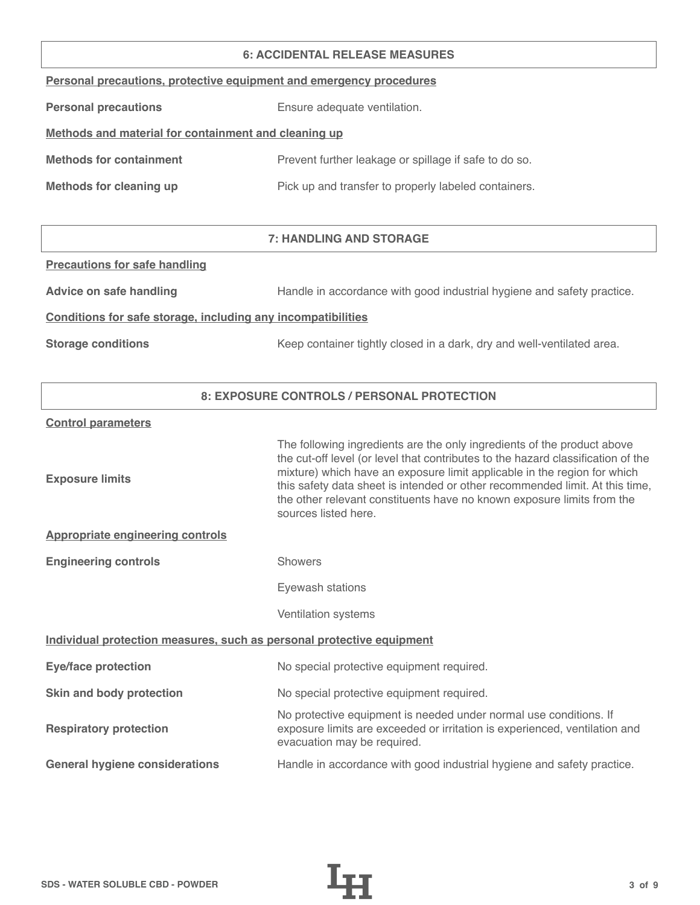#### **6: ACCIDENTAL RELEASE MEASURES**

|  |  | Personal precautions, protective equipment and emergency procedures |  |
|--|--|---------------------------------------------------------------------|--|
|  |  |                                                                     |  |

**Personal precautions** Ensure adequate ventilation.

# **Methods and material for containment and cleaning up**

| <b>Methods for containment</b> | Prevent further leakage or spillage if safe to do so. |
|--------------------------------|-------------------------------------------------------|
|                                |                                                       |

**Methods for cleaning up Pick up and transfer to properly labeled containers.** 

# **7: HANDLING AND STORAGE**

#### **Precautions for safe handling**

Advice on safe handling **Handle in accordance with good industrial hygiene and safety practice.** 

### **Conditions for safe storage, including any incompatibilities**

**Storage conditions** Keep container tightly closed in a dark, dry and well-ventilated area.

## **8: EXPOSURE CONTROLS / PERSONAL PROTECTION**

#### **Control parameters**

| <b>Exposure limits</b>                                                | The following ingredients are the only ingredients of the product above<br>the cut-off level (or level that contributes to the hazard classification of the<br>mixture) which have an exposure limit applicable in the region for which<br>this safety data sheet is intended or other recommended limit. At this time,<br>the other relevant constituents have no known exposure limits from the<br>sources listed here. |  |
|-----------------------------------------------------------------------|---------------------------------------------------------------------------------------------------------------------------------------------------------------------------------------------------------------------------------------------------------------------------------------------------------------------------------------------------------------------------------------------------------------------------|--|
| <b>Appropriate engineering controls</b>                               |                                                                                                                                                                                                                                                                                                                                                                                                                           |  |
| <b>Engineering controls</b>                                           | <b>Showers</b>                                                                                                                                                                                                                                                                                                                                                                                                            |  |
|                                                                       | Eyewash stations                                                                                                                                                                                                                                                                                                                                                                                                          |  |
|                                                                       | Ventilation systems                                                                                                                                                                                                                                                                                                                                                                                                       |  |
| Individual protection measures, such as personal protective equipment |                                                                                                                                                                                                                                                                                                                                                                                                                           |  |
| <b>Eye/face protection</b>                                            | No special protective equipment required.                                                                                                                                                                                                                                                                                                                                                                                 |  |
| Skin and body protection                                              | No special protective equipment required.                                                                                                                                                                                                                                                                                                                                                                                 |  |
| <b>Respiratory protection</b>                                         | No protective equipment is needed under normal use conditions. If<br>exposure limits are exceeded or irritation is experienced, ventilation and<br>evacuation may be required.                                                                                                                                                                                                                                            |  |
| <b>General hygiene considerations</b>                                 | Handle in accordance with good industrial hygiene and safety practice.                                                                                                                                                                                                                                                                                                                                                    |  |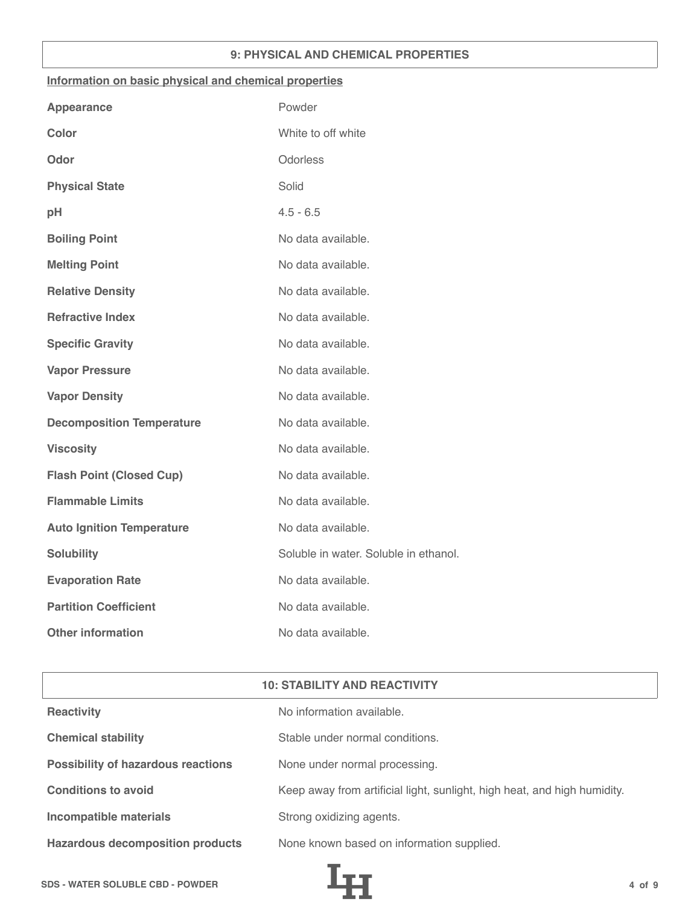## **9: PHYSICAL AND CHEMICAL PROPERTIES**

#### **Information on basic physical and chemical properties**

| Powder                                |
|---------------------------------------|
| White to off white                    |
| Odorless                              |
| Solid                                 |
| $4.5 - 6.5$                           |
| No data available.                    |
| No data available.                    |
| No data available.                    |
| No data available.                    |
| No data available.                    |
| No data available.                    |
| No data available.                    |
| No data available.                    |
| No data available.                    |
| No data available.                    |
| No data available.                    |
| No data available.                    |
| Soluble in water. Soluble in ethanol. |
| No data available.                    |
| No data available.                    |
| No data available.                    |
|                                       |

| <b>10: STABILITY AND REACTIVITY</b>       |                                                                          |  |
|-------------------------------------------|--------------------------------------------------------------------------|--|
| <b>Reactivity</b>                         | No information available.                                                |  |
| <b>Chemical stability</b>                 | Stable under normal conditions.                                          |  |
| <b>Possibility of hazardous reactions</b> | None under normal processing.                                            |  |
| <b>Conditions to avoid</b>                | Keep away from artificial light, sunlight, high heat, and high humidity. |  |
| <b>Incompatible materials</b>             | Strong oxidizing agents.                                                 |  |
| <b>Hazardous decomposition products</b>   | None known based on information supplied.                                |  |

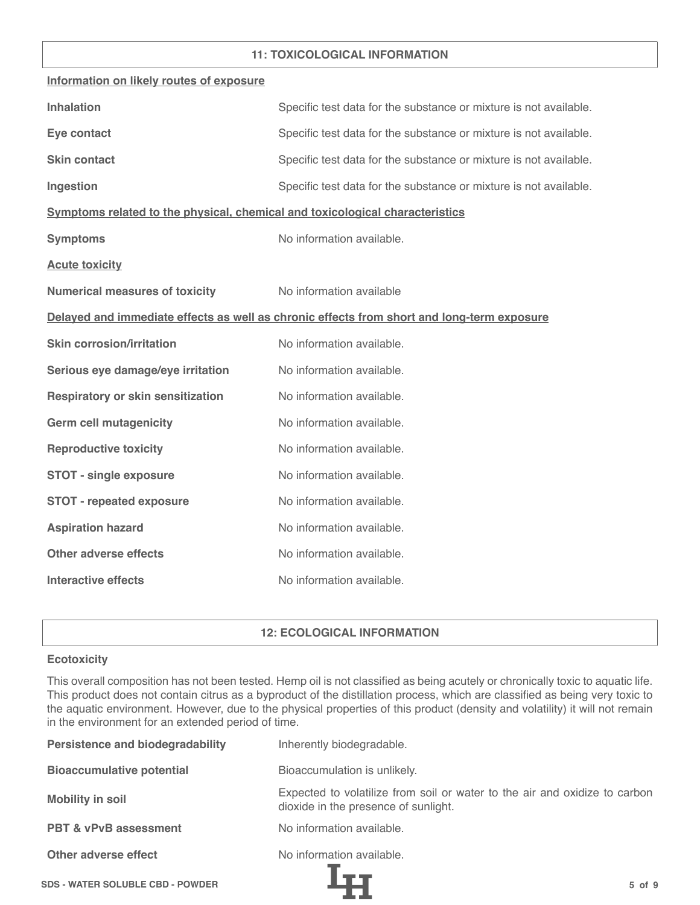## **11: TOXICOLOGICAL INFORMATION**

| Information on likely routes of exposure                                     |                                                                                            |
|------------------------------------------------------------------------------|--------------------------------------------------------------------------------------------|
| <b>Inhalation</b>                                                            | Specific test data for the substance or mixture is not available.                          |
| Eye contact                                                                  | Specific test data for the substance or mixture is not available.                          |
| <b>Skin contact</b>                                                          | Specific test data for the substance or mixture is not available.                          |
| Ingestion                                                                    | Specific test data for the substance or mixture is not available.                          |
| Symptoms related to the physical, chemical and toxicological characteristics |                                                                                            |
| <b>Symptoms</b>                                                              | No information available.                                                                  |
| <b>Acute toxicity</b>                                                        |                                                                                            |
| <b>Numerical measures of toxicity</b>                                        | No information available                                                                   |
|                                                                              | Delayed and immediate effects as well as chronic effects from short and long-term exposure |
| <b>Skin corrosion/irritation</b>                                             | No information available.                                                                  |
| Serious eye damage/eye irritation                                            | No information available.                                                                  |
| <b>Respiratory or skin sensitization</b>                                     | No information available.                                                                  |
| <b>Germ cell mutagenicity</b>                                                | No information available.                                                                  |
| <b>Reproductive toxicity</b>                                                 | No information available.                                                                  |
| <b>STOT - single exposure</b>                                                | No information available.                                                                  |
| <b>STOT - repeated exposure</b>                                              | No information available.                                                                  |
| <b>Aspiration hazard</b>                                                     | No information available.                                                                  |
| <b>Other adverse effects</b>                                                 | No information available.                                                                  |
| <b>Interactive effects</b>                                                   | No information available.                                                                  |

## **12: ECOLOGICAL INFORMATION**

#### **Ecotoxicity**

This overall composition has not been tested. Hemp oil is not classified as being acutely or chronically toxic to aquatic life. This product does not contain citrus as a byproduct of the distillation process, which are classified as being very toxic to the aquatic environment. However, due to the physical properties of this product (density and volatility) it will not remain in the environment for an extended period of time.

| <b>Persistence and biodegradability</b> | Inherently biodegradable.                                                                                          |
|-----------------------------------------|--------------------------------------------------------------------------------------------------------------------|
| <b>Bioaccumulative potential</b>        | Bioaccumulation is unlikely.                                                                                       |
| <b>Mobility in soil</b>                 | Expected to volatilize from soil or water to the air and oxidize to carbon<br>dioxide in the presence of sunlight. |
| <b>PBT &amp; vPvB assessment</b>        | No information available.                                                                                          |
| Other adverse effect                    | No information available.                                                                                          |
| <b>SDS - WATER SOLUBLE CBD - POWDER</b> | $5$ of $9$                                                                                                         |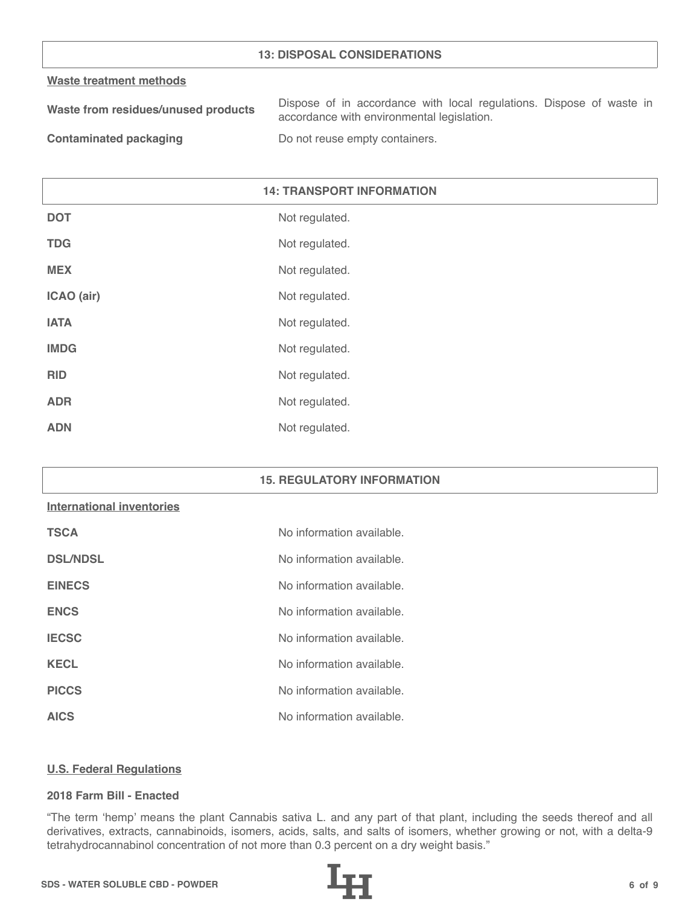## **13: DISPOSAL CONSIDERATIONS**

#### **Waste treatment methods**

| Waste from residues/unused products | Dispose of in accordance with local regulations. Dispose of waste in |
|-------------------------------------|----------------------------------------------------------------------|
|                                     | accordance with environmental legislation.                           |
|                                     |                                                                      |

**Contaminated packaging The Contaminated packaging Containers.** 

# **14: TRANSPORT INFORMATION**

| <b>DOT</b>  | Not regulated. |
|-------------|----------------|
| <b>TDG</b>  | Not regulated. |
| <b>MEX</b>  | Not regulated. |
| ICAO (air)  | Not regulated. |
| <b>IATA</b> | Not regulated. |
| <b>IMDG</b> | Not regulated. |
| <b>RID</b>  | Not regulated. |
| <b>ADR</b>  | Not regulated. |
| <b>ADN</b>  | Not regulated. |

## **15. REGULATORY INFORMATION**

#### **International inventories**

| <b>TSCA</b>     | No information available. |
|-----------------|---------------------------|
| <b>DSL/NDSL</b> | No information available. |
| <b>EINECS</b>   | No information available. |
| <b>ENCS</b>     | No information available. |
| <b>IECSC</b>    | No information available. |
| <b>KECL</b>     | No information available. |
| <b>PICCS</b>    | No information available. |
| <b>AICS</b>     | No information available. |

#### **U.S. Federal Regulations**

#### **2018 Farm Bill - Enacted**

"The term 'hemp' means the plant Cannabis sativa L. and any part of that plant, including the seeds thereof and all derivatives, extracts, cannabinoids, isomers, acids, salts, and salts of isomers, whether growing or not, with a delta-9 tetrahydrocannabinol concentration of not more than 0.3 percent on a dry weight basis."

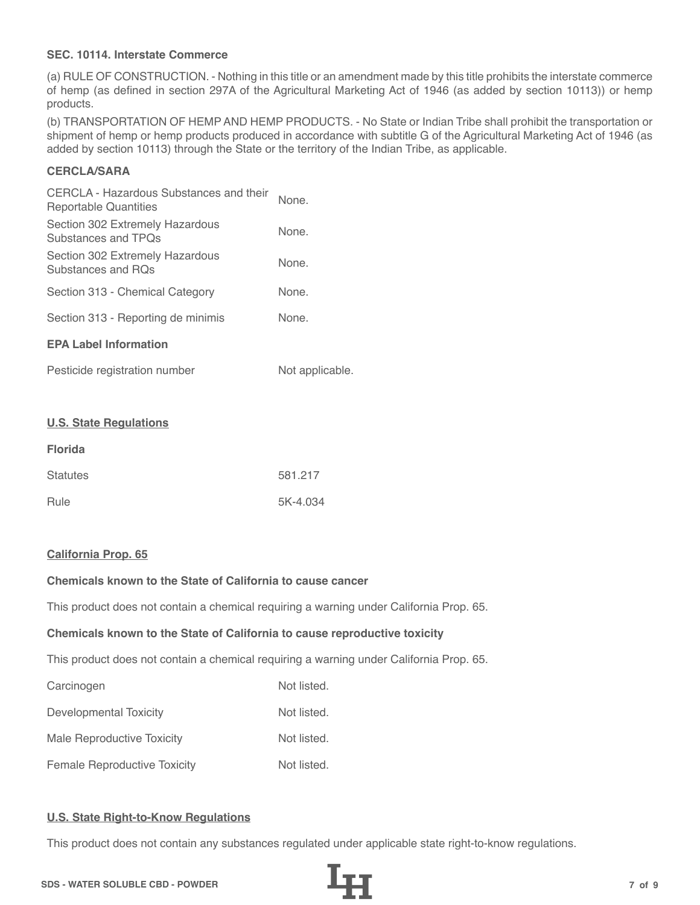## **SEC. 10114. Interstate Commerce**

(a) RULE OF CONSTRUCTION. - Nothing in this title or an amendment made by this title prohibits the interstate commerce of hemp (as defined in section 297A of the Agricultural Marketing Act of 1946 (as added by section 10113)) or hemp products.

(b) TRANSPORTATION OF HEMP AND HEMP PRODUCTS. - No State or Indian Tribe shall prohibit the transportation or shipment of hemp or hemp products produced in accordance with subtitle G of the Agricultural Marketing Act of 1946 (as added by section 10113) through the State or the territory of the Indian Tribe, as applicable.

# **CERCLA/SARA**

| CERCLA - Hazardous Substances and their<br>Reportable Quantities | None. |  |
|------------------------------------------------------------------|-------|--|
| Section 302 Extremely Hazardous<br>Substances and TPOs           | None. |  |
| Section 302 Extremely Hazardous<br>Substances and ROs            | None. |  |
| Section 313 - Chemical Category                                  | None. |  |
| Section 313 - Reporting de minimis                               | None. |  |
| <b>EPA Label Information</b>                                     |       |  |
|                                                                  |       |  |

| Pesticide registration number | Not applicable. |
|-------------------------------|-----------------|
|-------------------------------|-----------------|

#### **U.S. State Regulations**

| <b>Florida</b>  |          |
|-----------------|----------|
| <b>Statutes</b> | 581.217  |
| Rule            | 5K-4.034 |

#### **California Prop. 65**

# **Chemicals known to the State of California to cause cancer**

This product does not contain a chemical requiring a warning under California Prop. 65.

#### **Chemicals known to the State of California to cause reproductive toxicity**

This product does not contain a chemical requiring a warning under California Prop. 65.

| Carcinogen                          | Not listed. |
|-------------------------------------|-------------|
| Developmental Toxicity              | Not listed. |
| Male Reproductive Toxicity          | Not listed. |
| <b>Female Reproductive Toxicity</b> | Not listed. |

## **U.S. State Right-to-Know Regulations**

This product does not contain any substances regulated under applicable state right-to-know regulations.

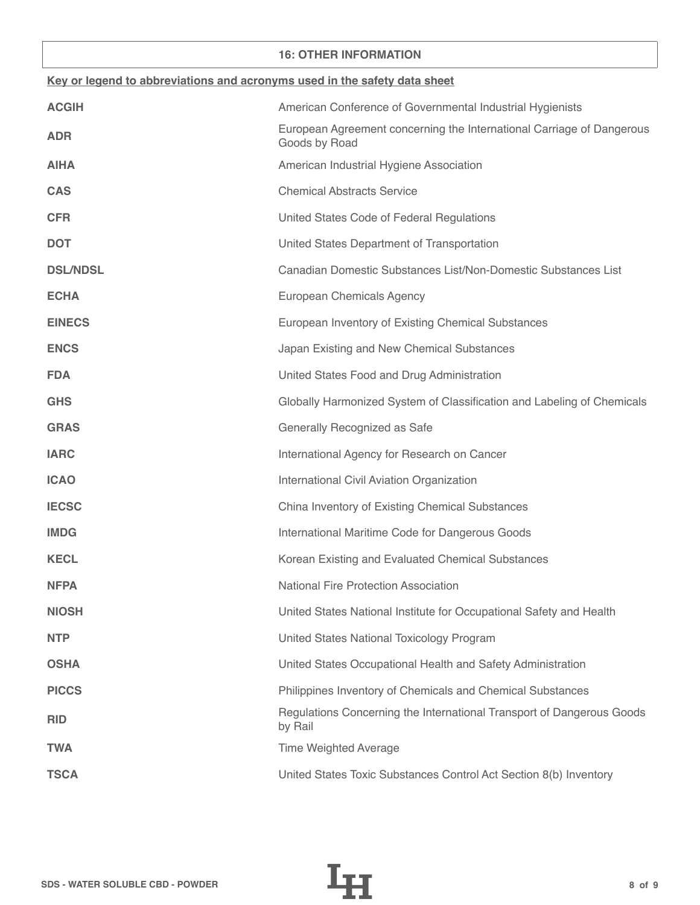### **16: OTHER INFORMATION**

| Key or legend to abbreviations and acronyms used in the safety data sheet |                                                                                        |  |
|---------------------------------------------------------------------------|----------------------------------------------------------------------------------------|--|
| <b>ACGIH</b>                                                              | American Conference of Governmental Industrial Hygienists                              |  |
| <b>ADR</b>                                                                | European Agreement concerning the International Carriage of Dangerous<br>Goods by Road |  |
| <b>AIHA</b>                                                               | American Industrial Hygiene Association                                                |  |
| <b>CAS</b>                                                                | <b>Chemical Abstracts Service</b>                                                      |  |
| <b>CFR</b>                                                                | United States Code of Federal Regulations                                              |  |
| <b>DOT</b>                                                                | United States Department of Transportation                                             |  |
| <b>DSL/NDSL</b>                                                           | Canadian Domestic Substances List/Non-Domestic Substances List                         |  |
| <b>ECHA</b>                                                               | European Chemicals Agency                                                              |  |
| <b>EINECS</b>                                                             | European Inventory of Existing Chemical Substances                                     |  |
| <b>ENCS</b>                                                               | Japan Existing and New Chemical Substances                                             |  |
| <b>FDA</b>                                                                | United States Food and Drug Administration                                             |  |
| <b>GHS</b>                                                                | Globally Harmonized System of Classification and Labeling of Chemicals                 |  |
| <b>GRAS</b>                                                               | Generally Recognized as Safe                                                           |  |
| <b>IARC</b>                                                               | International Agency for Research on Cancer                                            |  |
| <b>ICAO</b>                                                               | International Civil Aviation Organization                                              |  |
| <b>IECSC</b>                                                              | China Inventory of Existing Chemical Substances                                        |  |
| <b>IMDG</b>                                                               | International Maritime Code for Dangerous Goods                                        |  |
| <b>KECL</b>                                                               | Korean Existing and Evaluated Chemical Substances                                      |  |
| <b>NFPA</b>                                                               | <b>National Fire Protection Association</b>                                            |  |
| <b>NIOSH</b>                                                              | United States National Institute for Occupational Safety and Health                    |  |
| <b>NTP</b>                                                                | United States National Toxicology Program                                              |  |
| <b>OSHA</b>                                                               | United States Occupational Health and Safety Administration                            |  |
| <b>PICCS</b>                                                              | Philippines Inventory of Chemicals and Chemical Substances                             |  |
| <b>RID</b>                                                                | Regulations Concerning the International Transport of Dangerous Goods<br>by Rail       |  |
| <b>TWA</b>                                                                | <b>Time Weighted Average</b>                                                           |  |
| <b>TSCA</b>                                                               | United States Toxic Substances Control Act Section 8(b) Inventory                      |  |